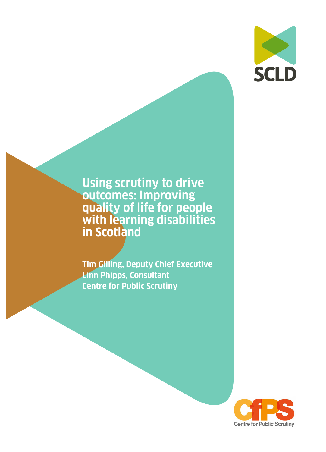

**Using scrutiny to drive outcomes: Improving quality of life for people with learning disabilities in Scotland**

**Tim Gilling, Deputy Chief Executive Linn Phipps, Consultant Centre for Public Scrutiny**

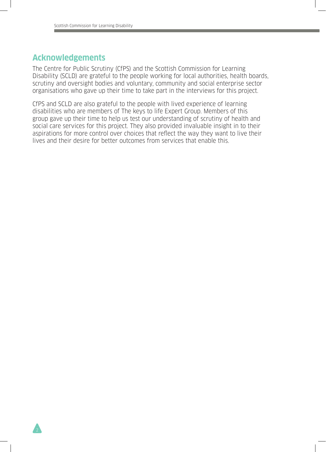### **Acknowledgements**

2

The Centre for Public Scrutiny (CfPS) and the Scottish Commission for Learning Disability (SCLD) are grateful to the people working for local authorities, health boards, scrutiny and oversight bodies and voluntary, community and social enterprise sector organisations who gave up their time to take part in the interviews for this project.

CfPS and SCLD are also grateful to the people with lived experience of learning disabilities who are members of The keys to life Expert Group. Members of this group gave up their time to help us test our understanding of scrutiny of health and social care services for this project. They also provided invaluable insight in to their aspirations for more control over choices that reflect the way they want to live their lives and their desire for better outcomes from services that enable this.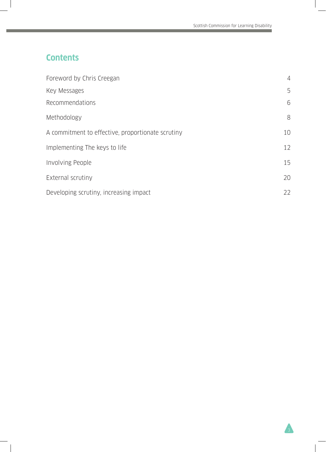# **Contents**

| Foreword by Chris Creegan                         | $\overline{4}$ |
|---------------------------------------------------|----------------|
| Key Messages                                      | 5              |
| Recommendations                                   | 6              |
| Methodology                                       | 8              |
| A commitment to effective, proportionate scrutiny | 10             |
| Implementing The keys to life                     | 12             |
| <b>Involving People</b>                           | 15             |
| External scrutiny                                 | 20             |
| Developing scrutiny, increasing impact            | 22             |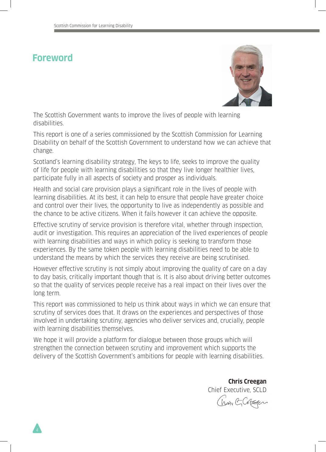# **Foreword**



The Scottish Government wants to improve the lives of people with learning disabilities.

This report is one of a series commissioned by the Scottish Commission for Learning Disability on behalf of the Scottish Government to understand how we can achieve that change.

Scotland's learning disability strategy, The keys to life, seeks to improve the quality of life for people with learning disabilities so that they live longer healthier lives, participate fully in all aspects of society and prosper as individuals.

Health and social care provision plays a significant role in the lives of people with learning disabilities. At its best, it can help to ensure that people have greater choice and control over their lives, the opportunity to live as independently as possible and the chance to be active citizens. When it fails however it can achieve the opposite.

Effective scrutiny of service provision is therefore vital, whether through inspection, audit or investigation. This requires an appreciation of the lived experiences of people with learning disabilities and ways in which policy is seeking to transform those experiences. By the same token people with learning disabilities need to be able to understand the means by which the services they receive are being scrutinised.

However effective scrutiny is not simply about improving the quality of care on a day to day basis, critically important though that is. It is also about driving better outcomes so that the quality of services people receive has a real impact on their lives over the long term.

This report was commissioned to help us think about ways in which we can ensure that scrutiny of services does that. It draws on the experiences and perspectives of those involved in undertaking scrutiny, agencies who deliver services and, crucially, people with learning disabilities themselves.

We hope it will provide a platform for dialogue between those groups which will strengthen the connection between scrutiny and improvement which supports the delivery of the Scottish Government's ambitions for people with learning disabilities.

> **Chris Creegan** Chief Executive, SCLD

Chan GCREEK

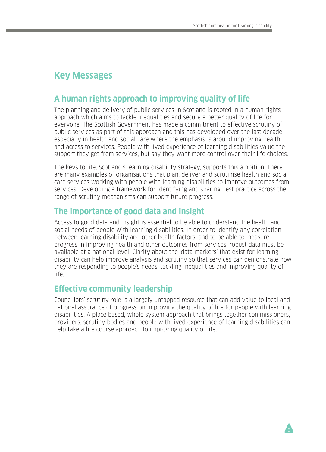# **Key Messages**

# **A human rights approach to improving quality of life**

The planning and delivery of public services in Scotland is rooted in a human rights approach which aims to tackle inequalities and secure a better quality of life for everyone. The Scottish Government has made a commitment to effective scrutiny of public services as part of this approach and this has developed over the last decade, especially in health and social care where the emphasis is around improving health and access to services. People with lived experience of learning disabilities value the support they get from services, but say they want more control over their life choices.

The keys to life, Scotland's learning disability strategy, supports this ambition. There are many examples of organisations that plan, deliver and scrutinise health and social care services working with people with learning disabilities to improve outcomes from services. Developing a framework for identifying and sharing best practice across the range of scrutiny mechanisms can support future progress.

## **The importance of good data and insight**

Access to good data and insight is essential to be able to understand the health and social needs of people with learning disabilities. In order to identify any correlation between learning disability and other health factors, and to be able to measure progress in improving health and other outcomes from services, robust data must be available at a national level. Clarity about the 'data markers' that exist for learning disability can help improve analysis and scrutiny so that services can demonstrate how they are responding to people's needs, tackling inequalities and improving quality of life.

## **Effective community leadership**

Councillors' scrutiny role is a largely untapped resource that can add value to local and national assurance of progress on improving the quality of life for people with learning disabilities. A place based, whole system approach that brings together commissioners, providers, scrutiny bodies and people with lived experience of learning disabilities can help take a life course approach to improving quality of life.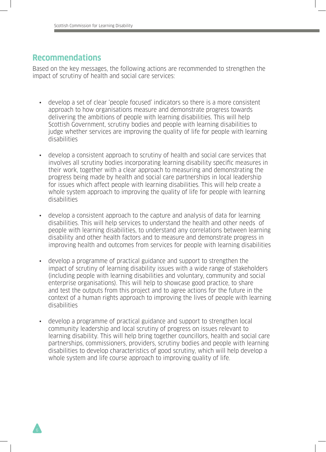### **Recommendations**

Based on the key messages, the following actions are recommended to strengthen the impact of scrutiny of health and social care services:

- develop a set of clear 'people focused' indicators so there is a more consistent approach to how organisations measure and demonstrate progress towards delivering the ambitions of people with learning disabilities. This will help Scottish Government, scrutiny bodies and people with learning disabilities to judge whether services are improving the quality of life for people with learning disabilities
- develop a consistent approach to scrutiny of health and social care services that involves all scrutiny bodies incorporating learning disability specific measures in their work, together with a clear approach to measuring and demonstrating the progress being made by health and social care partnerships in local leadership for issues which affect people with learning disabilities. This will help create a whole system approach to improving the quality of life for people with learning disabilities
- develop a consistent approach to the capture and analysis of data for learning disabilities. This will help services to understand the health and other needs of people with learning disabilities, to understand any correlations between learning disability and other health factors and to measure and demonstrate progress in improving health and outcomes from services for people with learning disabilities
- develop a programme of practical guidance and support to strengthen the impact of scrutiny of learning disability issues with a wide range of stakeholders (including people with learning disabilities and voluntary, community and social enterprise organisations). This will help to showcase good practice, to share and test the outputs from this project and to agree actions for the future in the context of a human rights approach to improving the lives of people with learning disabilities
- develop a programme of practical guidance and support to strengthen local community leadership and local scrutiny of progress on issues relevant to learning disability. This will help bring together councillors, health and social care partnerships, commissioners, providers, scrutiny bodies and people with learning disabilities to develop characteristics of good scrutiny, which will help develop a whole system and life course approach to improving quality of life.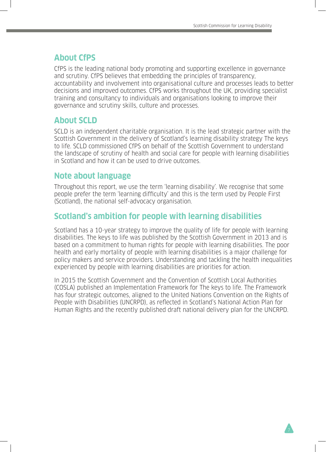### **About CfPS**

CfPS is the leading national body promoting and supporting excellence in governance and scrutiny. CfPS believes that embedding the principles of transparency, accountability and involvement into organisational culture and processes leads to better decisions and improved outcomes. CfPS works throughout the UK, providing specialist training and consultancy to individuals and organisations looking to improve their governance and scrutiny skills, culture and processes.

### **About SCLD**

SCLD is an independent charitable organisation. It is the lead strategic partner with the Scottish Government in the delivery of Scotland's learning disability strategy The keys to life. SCLD commissioned CfPS on behalf of the Scottish Government to understand the landscape of scrutiny of health and social care for people with learning disabilities in Scotland and how it can be used to drive outcomes.

### **Note about language**

Throughout this report, we use the term 'learning disability'. We recognise that some people prefer the term 'learning difficulty' and this is the term used by People First (Scotland), the national self-advocacy organisation.

## **Scotland's ambition for people with learning disabilities**

Scotland has a 10-year strategy to improve the quality of life for people with learning disabilities. The keys to life was published by the Scottish Government in 2013 and is based on a commitment to human rights for people with learning disabilities. The poor health and early mortality of people with learning disabilities is a major challenge for policy makers and service providers. Understanding and tackling the health inequalities experienced by people with learning disabilities are priorities for action.

In 2015 the Scottish Government and the Convention of Scottish Local Authorities (COSLA) published an Implementation Framework for The keys to life. The Framework has four strategic outcomes, aligned to the United Nations Convention on the Rights of People with Disabilities (UNCRPD), as reflected in Scotland's National Action Plan for Human Rights and the recently published draft national delivery plan for the UNCRPD.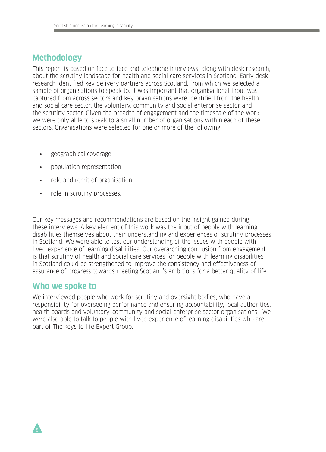### **Methodology**

This report is based on face to face and telephone interviews, along with desk research, about the scrutiny landscape for health and social care services in Scotland. Early desk research identified key delivery partners across Scotland, from which we selected a sample of organisations to speak to. It was important that organisational input was captured from across sectors and key organisations were identified from the health and social care sector, the voluntary, community and social enterprise sector and the scrutiny sector. Given the breadth of engagement and the timescale of the work, we were only able to speak to a small number of organisations within each of these sectors. Organisations were selected for one or more of the following:

- geographical coverage
- population representation
- role and remit of organisation
- role in scrutiny processes.

Our key messages and recommendations are based on the insight gained during these interviews. A key element of this work was the input of people with learning disabilities themselves about their understanding and experiences of scrutiny processes in Scotland. We were able to test our understanding of the issues with people with lived experience of learning disabilities. Our overarching conclusion from engagement is that scrutiny of health and social care services for people with learning disabilities in Scotland could be strengthened to improve the consistency and effectiveness of assurance of progress towards meeting Scotland's ambitions for a better quality of life.

### **Who we spoke to**

We interviewed people who work for scrutiny and oversight bodies, who have a responsibility for overseeing performance and ensuring accountability, local authorities, health boards and voluntary, community and social enterprise sector organisations. We were also able to talk to people with lived experience of learning disabilities who are part of The keys to life Expert Group.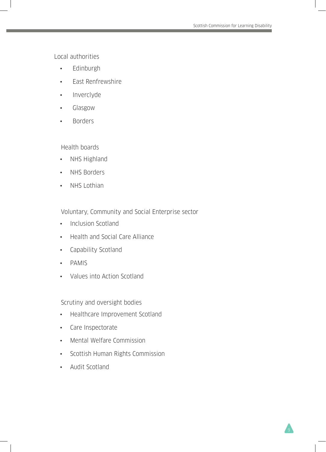Local authorities

- Edinburgh
- East Renfrewshire
- Inverclyde
- Glasgow
- Borders

Health boards

- NHS Highland
- NHS Borders
- NHS Lothian

Voluntary, Community and Social Enterprise sector

- Inclusion Scotland
- Health and Social Care Alliance
- Capability Scotland
- PAMIS
- Values into Action Scotland

Scrutiny and oversight bodies

- Healthcare Improvement Scotland
- Care Inspectorate
- Mental Welfare Commission
- Scottish Human Rights Commission
- Audit Scotland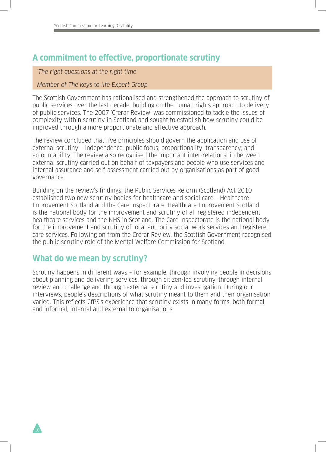## **A commitment to effective, proportionate scrutiny**

'The right questions at the right time'

#### Member of The keys to life Expert Group

The Scottish Government has rationalised and strengthened the approach to scrutiny of public services over the last decade, building on the human rights approach to delivery of public services. The 2007 'Crerar Review' was commissioned to tackle the issues of complexity within scrutiny in Scotland and sought to establish how scrutiny could be improved through a more proportionate and effective approach.

The review concluded that five principles should govern the application and use of external scrutiny – independence; public focus; proportionality; transparency; and accountability. The review also recognised the important inter-relationship between external scrutiny carried out on behalf of taxpayers and people who use services and internal assurance and self-assessment carried out by organisations as part of good governance.

Building on the review's findings, the Public Services Reform (Scotland) Act 2010 established two new scrutiny bodies for healthcare and social care – Healthcare Improvement Scotland and the Care Inspectorate. Healthcare Improvement Scotland is the national body for the improvement and scrutiny of all registered independent healthcare services and the NHS in Scotland. The Care Inspectorate is the national body for the improvement and scrutiny of local authority social work services and registered care services. Following on from the Crerar Review, the Scottish Government recognised the public scrutiny role of the Mental Welfare Commission for Scotland.

## **What do we mean by scrutiny?**

Scrutiny happens in different ways – for example, through involving people in decisions about planning and delivering services, through citizen-led scrutiny, through internal review and challenge and through external scrutiny and investigation. During our interviews, people's descriptions of what scrutiny meant to them and their organisation varied. This reflects CfPS's experience that scrutiny exists in many forms, both formal and informal, internal and external to organisations.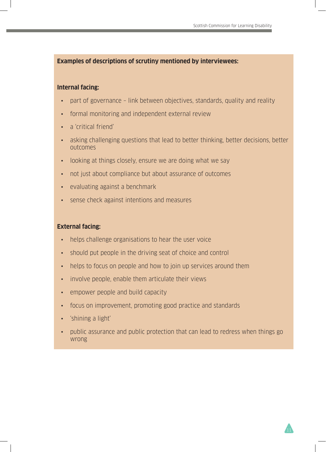#### **Examples of descriptions of scrutiny mentioned by interviewees:**

#### **Internal facing:**

- part of governance link between objectives, standards, quality and reality
- formal monitoring and independent external review
- a 'critical friend'
- asking challenging questions that lead to better thinking, better decisions, better outcomes
- looking at things closely, ensure we are doing what we say
- not just about compliance but about assurance of outcomes
- evaluating against a benchmark
- sense check against intentions and measures

#### **External facing:**

- helps challenge organisations to hear the user voice
- should put people in the driving seat of choice and control
- helps to focus on people and how to join up services around them
- involve people, enable them articulate their views
- empower people and build capacity
- focus on improvement, promoting good practice and standards
- 'shining a light'
- public assurance and public protection that can lead to redress when things go wrong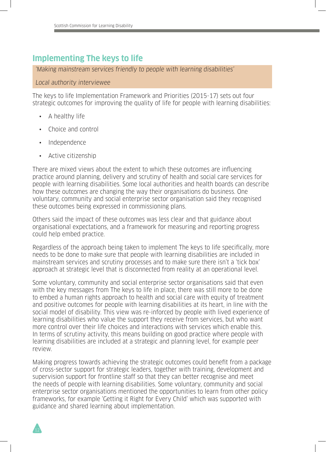# **Implementing The keys to life**

'Making mainstream services friendly to people with learning disabilities'

#### Local authority interviewee

The keys to life Implementation Framework and Priorities (2015-17) sets out four strategic outcomes for improving the quality of life for people with learning disabilities:

- A healthy life
- Choice and control
- Independence
- Active citizenship

There are mixed views about the extent to which these outcomes are influencing practice around planning, delivery and scrutiny of health and social care services for people with learning disabilities. Some local authorities and health boards can describe how these outcomes are changing the way their organisations do business. One voluntary, community and social enterprise sector organisation said they recognised these outcomes being expressed in commissioning plans.

Others said the impact of these outcomes was less clear and that guidance about organisational expectations, and a framework for measuring and reporting progress could help embed practice.

Regardless of the approach being taken to implement The keys to life specifically, more needs to be done to make sure that people with learning disabilities are included in mainstream services and scrutiny processes and to make sure there isn't a 'tick box' approach at strategic level that is disconnected from reality at an operational level.

Some voluntary, community and social enterprise sector organisations said that even with the key messages from The keys to life in place, there was still more to be done to embed a human rights approach to health and social care with equity of treatment and positive outcomes for people with learning disabilities at its heart, in line with the social model of disability. This view was re-inforced by people with lived experience of learning disabilities who value the support they receive from services, but who want more control over their life choices and interactions with services which enable this. In terms of scrutiny activity, this means building on good practice where people with learning disabilities are included at a strategic and planning level, for example peer review.

Making progress towards achieving the strategic outcomes could benefit from a package of cross-sector support for strategic leaders, together with training, development and supervision support for frontline staff so that they can better recognise and meet the needs of people with learning disabilities. Some voluntary, community and social enterprise sector organisations mentioned the opportunities to learn from other policy frameworks, for example 'Getting it Right for Every Child' which was supported with guidance and shared learning about implementation.

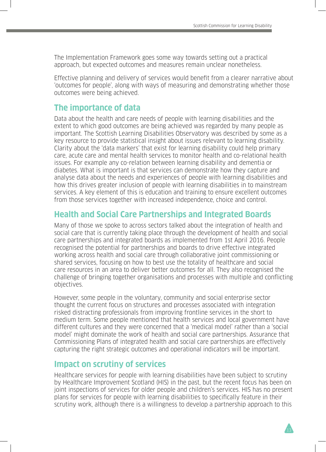The Implementation Framework goes some way towards setting out a practical approach, but expected outcomes and measures remain unclear nonetheless.

Effective planning and delivery of services would benefit from a clearer narrative about 'outcomes for people', along with ways of measuring and demonstrating whether those outcomes were being achieved.

### **The importance of data**

Data about the health and care needs of people with learning disabilities and the extent to which good outcomes are being achieved was regarded by many people as important. The Scottish Learning Disabilities Observatory was described by some as a key resource to provide statistical insight about issues relevant to learning disability. Clarity about the 'data markers' that exist for learning disability could help primary care, acute care and mental health services to monitor health and co-relational health issues. For example any co-relation between learning disability and dementia or diabetes. What is important is that services can demonstrate how they capture and analyse data about the needs and experiences of people with learning disabilities and how this drives greater inclusion of people with learning disabilities in to mainstream services. A key element of this is education and training to ensure excellent outcomes from those services together with increased independence, choice and control.

## **Health and Social Care Partnerships and Integrated Boards**

Many of those we spoke to across sectors talked about the integration of health and social care that is currently taking place through the development of health and social care partnerships and integrated boards as implemented from 1st April 2016. People recognised the potential for partnerships and boards to drive effective integrated working across health and social care through collaborative joint commissioning or shared services, focusing on how to best use the totality of healthcare and social care resources in an area to deliver better outcomes for all. They also recognised the challenge of bringing together organisations and processes with multiple and conflicting objectives.

However, some people in the voluntary, community and social enterprise sector thought the current focus on structures and processes associated with integration risked distracting professionals from improving frontline services in the short to medium term. Some people mentioned that health services and local government have different cultures and they were concerned that a 'medical model' rather than a 'social model' might dominate the work of health and social care partnerships. Assurance that Commissioning Plans of integrated health and social care partnerships are effectively capturing the right strategic outcomes and operational indicators will be important.

### **Impact on scrutiny of services**

Healthcare services for people with learning disabilities have been subject to scrutiny by Healthcare Improvement Scotland (HIS) in the past, but the recent focus has been on joint inspections of services for older people and children's services. HIS has no present plans for services for people with learning disabilities to specifically feature in their scrutiny work, although there is a willingness to develop a partnership approach to this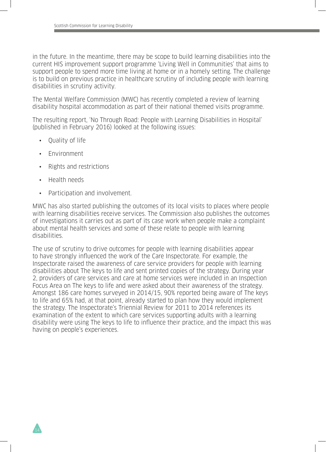in the future. In the meantime, there may be scope to build learning disabilities into the current HIS improvement support programme 'Living Well in Communities' that aims to support people to spend more time living at home or in a homely setting. The challenge is to build on previous practice in healthcare scrutiny of including people with learning disabilities in scrutiny activity.

The Mental Welfare Commission (MWC) has recently completed a review of learning disability hospital accommodation as part of their national themed visits programme.

The resulting report, 'No Through Road: People with Learning Disabilities in Hospital' (published in February 2016) looked at the following issues:

- Quality of life
- **Environment**
- Rights and restrictions
- Health needs
- Participation and involvement.

MWC has also started publishing the outcomes of its local visits to places where people with learning disabilities receive services. The Commission also publishes the outcomes of investigations it carries out as part of its case work when people make a complaint about mental health services and some of these relate to people with learning disabilities.

The use of scrutiny to drive outcomes for people with learning disabilities appear to have strongly influenced the work of the Care Inspectorate. For example, the Inspectorate raised the awareness of care service providers for people with learning disabilities about The keys to life and sent printed copies of the strategy. During year 2, providers of care services and care at home services were included in an Inspection Focus Area on The keys to life and were asked about their awareness of the strategy. Amongst 186 care homes surveyed in 2014/15, 90% reported being aware of The keys to life and 65% had, at that point, already started to plan how they would implement the strategy. The Inspectorate's Triennial Review for 2011 to 2014 references its examination of the extent to which care services supporting adults with a learning disability were using The keys to life to influence their practice, and the impact this was having on people's experiences.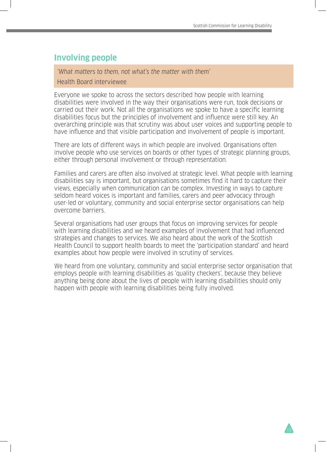## **Involving people**

'What matters to them, not what's the matter with them'

#### Health Board interviewee

Everyone we spoke to across the sectors described how people with learning disabilities were involved in the way their organisations were run, took decisions or carried out their work. Not all the organisations we spoke to have a specific learning disabilities focus but the principles of involvement and influence were still key. An overarching principle was that scrutiny was about user voices and supporting people to have influence and that visible participation and involvement of people is important.

There are lots of different ways in which people are involved. Organisations often involve people who use services on boards or other types of strategic planning groups, either through personal involvement or through representation.

Families and carers are often also involved at strategic level. What people with learning disabilities say is important, but organisations sometimes find it hard to capture their views, especially when communication can be complex. Investing in ways to capture seldom heard voices is important and families, carers and peer advocacy through user-led or voluntary, community and social enterprise sector organisations can help overcome barriers.

Several organisations had user groups that focus on improving services for people with learning disabilities and we heard examples of involvement that had influenced strategies and changes to services. We also heard about the work of the Scottish Health Council to support health boards to meet the 'participation standard' and heard examples about how people were involved in scrutiny of services.

We heard from one voluntary, community and social enterprise sector organisation that employs people with learning disabilities as 'quality checkers', because they believe anything being done about the lives of people with learning disabilities should only happen with people with learning disabilities being fully involved.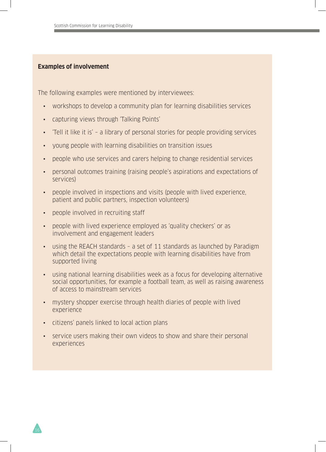#### **Examples of involvement**

The following examples were mentioned by interviewees:

- workshops to develop a community plan for learning disabilities services
- capturing views through 'Talking Points'
- 'Tell it like it is' a library of personal stories for people providing services
- young people with learning disabilities on transition issues
- people who use services and carers helping to change residential services
- personal outcomes training (raising people's aspirations and expectations of services)
- people involved in inspections and visits (people with lived experience, patient and public partners, inspection volunteers)
- people involved in recruiting staff
- people with lived experience employed as 'quality checkers' or as involvement and engagement leaders
- using the REACH standards a set of 11 standards as launched by Paradigm which detail the expectations people with learning disabilities have from supported living
- using national learning disabilities week as a focus for developing alternative social opportunities, for example a football team, as well as raising awareness of access to mainstream services
- mystery shopper exercise through health diaries of people with lived experience
- citizens' panels linked to local action plans
- service users making their own videos to show and share their personal experiences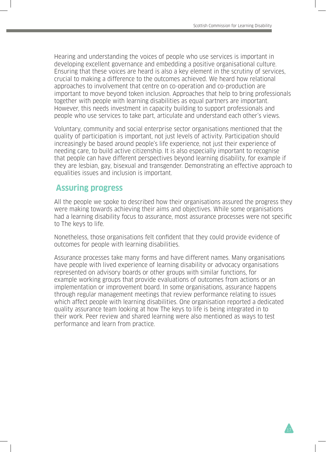Hearing and understanding the voices of people who use services is important in developing excellent governance and embedding a positive organisational culture. Ensuring that these voices are heard is also a key element in the scrutiny of services, crucial to making a difference to the outcomes achieved. We heard how relational approaches to involvement that centre on co-operation and co-production are important to move beyond token inclusion. Approaches that help to bring professionals together with people with learning disabilities as equal partners are important. However, this needs investment in capacity building to support professionals and people who use services to take part, articulate and understand each other's views.

Voluntary, community and social enterprise sector organisations mentioned that the quality of participation is important, not just levels of activity. Participation should increasingly be based around people's life experience, not just their experience of needing care, to build active citizenship. It is also especially important to recognise that people can have different perspectives beyond learning disability, for example if they are lesbian, gay, bisexual and transgender. Demonstrating an effective approach to equalities issues and inclusion is important.

### **Assuring progress**

All the people we spoke to described how their organisations assured the progress they were making towards achieving their aims and objectives. While some organisations had a learning disability focus to assurance, most assurance processes were not specific to The keys to life.

Nonetheless, those organisations felt confident that they could provide evidence of outcomes for people with learning disabilities.

Assurance processes take many forms and have different names. Many organisations have people with lived experience of learning disability or advocacy organisations represented on advisory boards or other groups with similar functions, for example working groups that provide evaluations of outcomes from actions or an implementation or improvement board. In some organisations, assurance happens through regular management meetings that review performance relating to issues which affect people with learning disabilities. One organisation reported a dedicated quality assurance team looking at how The keys to life is being integrated in to their work. Peer review and shared learning were also mentioned as ways to test performance and learn from practice.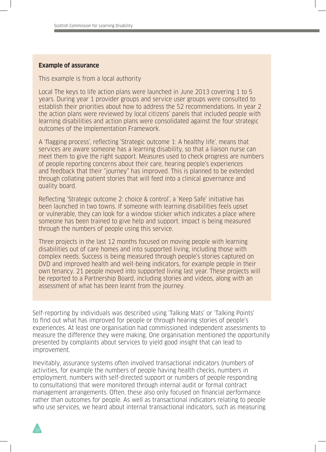#### **Example of assurance**

This example is from a local authority

Local The keys to life action plans were launched in June 2013 covering 1 to 5 years. During year 1 provider groups and service user groups were consulted to establish their priorities about how to address the 52 recommendations. In year 2 the action plans were reviewed by local citizens' panels that included people with learning disabilities and action plans were consolidated against the four strategic outcomes of the Implementation Framework.

A 'flagging process', reflecting 'Strategic outcome 1: A healthy life', means that services are aware someone has a learning disability, so that a liaison nurse can meet them to give the right support. Measures used to check progress are numbers of people reporting concerns about their care, hearing people's experiences and feedback that their "journey" has improved. This is planned to be extended through collating patient stories that will feed into a clinical governance and quality board.

Reflecting 'Strategic outcome 2: choice & control', a 'Keep Safe' initiative has been launched in two towns. If someone with learning disabilities feels upset or vulnerable, they can look for a window sticker which indicates a place where someone has been trained to give help and support. Impact is being measured through the numbers of people using this service.

Three projects in the last 12 months focused on moving people with learning disabilities out of care homes and into supported living, including those with complex needs. Success is being measured through people's stories captured on DVD and improved health and well-being indicators, for example people in their own tenancy. 21 people moved into supported living last year. These projects will be reported to a Partnership Board, including stories and videos, along with an assessment of what has been learnt from the journey.

Self-reporting by individuals was described using 'Talking Mats' or 'Talking Points' to find out what has improved for people or through hearing stories of people's experiences. At least one organisation had commissioned independent assessments to measure the difference they were making. One organisation mentioned the opportunity presented by complaints about services to yield good insight that can lead to improvement.

Inevitably, assurance systems often involved transactional indicators (numbers of activities, for example the numbers of people having health checks, numbers in employment, numbers with self-directed support or numbers of people responding to consultations) that were monitored through internal audit or formal contract management arrangements. Often, these also only focused on financial performance rather than outcomes for people. As well as transactional indicators relating to people who use services, we heard about internal transactional indicators, such as measuring

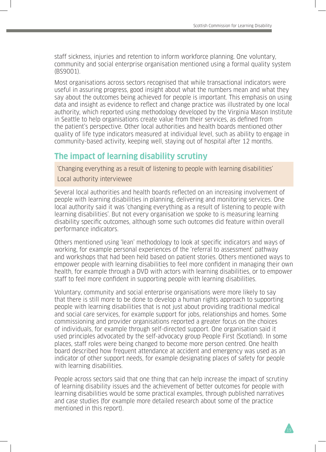staff sickness, injuries and retention to inform workforce planning. One voluntary, community and social enterprise organisation mentioned using a formal quality system (BS9001).

Most organisations across sectors recognised that while transactional indicators were useful in assuring progress, good insight about what the numbers mean and what they say about the outcomes being achieved for people is important. This emphasis on using data and insight as evidence to reflect and change practice was illustrated by one local authority, which reported using methodology developed by the Virginia Mason Institute in Seattle to help organisations create value from their services, as defined from the patient's perspective. Other local authorities and health boards mentioned other quality of life type indicators measured at individual level, such as ability to engage in community-based activity, keeping well, staying out of hospital after 12 months.

# **The impact of learning disability scrutiny**

'Changing everything as a result of listening to people with learning disabilities' Local authority interviewee

Several local authorities and health boards reflected on an increasing involvement of people with learning disabilities in planning, delivering and monitoring services. One local authority said it was 'changing everything as a result of listening to people with learning disabilities'. But not every organisation we spoke to is measuring learning disability specific outcomes, although some such outcomes did feature within overall performance indicators.

Others mentioned using 'lean' methodology to look at specific indicators and ways of working, for example personal experiences of the 'referral to assessment' pathway and workshops that had been held based on patient stories. Others mentioned ways to empower people with learning disabilities to feel more confident in managing their own health, for example through a DVD with actors with learning disabilities, or to empower staff to feel more confident in supporting people with learning disabilities.

Voluntary, community and social enterprise organisations were more likely to say that there is still more to be done to develop a human rights approach to supporting people with learning disabilities that is not just about providing traditional medical and social care services, for example support for jobs, relationships and homes. Some commissioning and provider organisations reported a greater focus on the choices of individuals, for example through self-directed support. One organisation said it used principles advocated by the self-advocacy group People First (Scotland). In some places, staff roles were being changed to become more person centred. One health board described how frequent attendance at accident and emergency was used as an indicator of other support needs, for example designating places of safety for people with learning disabilities.

People across sectors said that one thing that can help increase the impact of scrutiny of learning disability issues and the achievement of better outcomes for people with learning disabilities would be some practical examples, through published narratives and case studies (for example more detailed research about some of the practice mentioned in this report).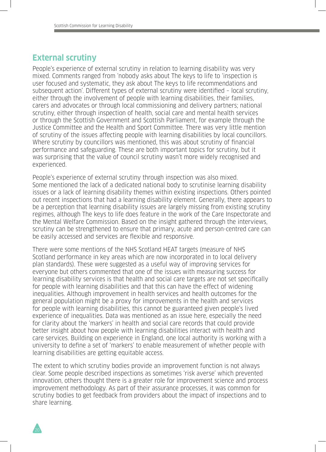### **External scrutiny**

People's experience of external scrutiny in relation to learning disability was very mixed. Comments ranged from 'nobody asks about The keys to life to 'inspection is user focused and systematic, they ask about The keys to life recommendations and subsequent action'. Different types of external scrutiny were identified – local scrutiny, either through the involvement of people with learning disabilities, their families, carers and advocates or through local commissioning and delivery partners; national scrutiny, either through inspection of health, social care and mental health services or through the Scottish Government and Scottish Parliament, for example through the Justice Committee and the Health and Sport Committee. There was very little mention of scrutiny of the issues affecting people with learning disabilities by local councillors. Where scrutiny by councillors was mentioned, this was about scrutiny of financial performance and safeguarding. These are both important topics for scrutiny, but it was surprising that the value of council scrutiny wasn't more widely recognised and experienced.

People's experience of external scrutiny through inspection was also mixed. Some mentioned the lack of a dedicated national body to scrutinise learning disability issues or a lack of learning disability themes within existing inspections. Others pointed out recent inspections that had a learning disability element. Generally, there appears to be a perception that learning disability issues are largely missing from existing scrutiny regimes, although The keys to life does feature in the work of the Care Inspectorate and the Mental Welfare Commission. Based on the insight gathered through the interviews, scrutiny can be strengthened to ensure that primary, acute and person-centred care can be easily accessed and services are flexible and responsive.

There were some mentions of the NHS Scotland HEAT targets (measure of NHS Scotland performance in key areas which are now incorporated in to local delivery plan standards). These were suggested as a useful way of improving services for everyone but others commented that one of the issues with measuring success for learning disability services is that health and social care targets are not set specifically for people with learning disabilities and that this can have the effect of widening inequalities. Although improvement in health services and health outcomes for the general population might be a proxy for improvements in the health and services for people with learning disabilities, this cannot be guaranteed given people's lived experience of inequalities. Data was mentioned as an issue here, especially the need for clarity about the 'markers' in health and social care records that could provide better insight about how people with learning disabilities interact with health and care services. Building on experience in England, one local authority is working with a university to define a set of 'markers' to enable measurement of whether people with learning disabilities are getting equitable access.

The extent to which scrutiny bodies provide an improvement function is not always clear. Some people described inspections as sometimes 'risk averse' which prevented innovation, others thought there is a greater role for improvement science and process improvement methodology. As part of their assurance processes, it was common for scrutiny bodies to get feedback from providers about the impact of inspections and to share learning.

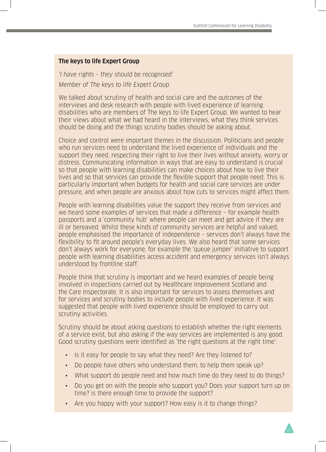#### **The keys to life Expert Group**

'I have rights – they should be recognised' Member of The keys to life Expert Group

We talked about scrutiny of health and social care and the outcomes of the interviews and desk research with people with lived experience of learning disabilities who are members of The keys to life Expert Group. We wanted to hear their views about what we had heard in the interviews, what they think services should be doing and the things scrutiny bodies should be asking about.

Choice and control were important themes in the discussion. Politicians and people who run services need to understand the lived experience of individuals and the support they need, respecting their right to live their lives without anxiety, worry or distress. Communicating information in ways that are easy to understand is crucial so that people with learning disabilities can make choices about how to live their lives and so that services can provide the flexible support that people need. This is particularly important when budgets for health and social care services are under pressure, and when people are anxious about how cuts to services might affect them.

People with learning disabilities value the support they receive from services and we heard some examples of services that made a difference – for example health passports and a 'community hub' where people can meet and get advice if they are ill or bereaved. Whilst these kinds of community services are helpful and valued, people emphasised the importance of independence – services don't always have the flexibility to fit around people's everyday lives. We also heard that some services don't always work for everyone, for example the 'queue jumper' initiative to support people with learning disabilities access accident and emergency services isn't always understood by frontline staff.

People think that scrutiny is important and we heard examples of people being involved in inspections carried out by Healthcare Improvement Scotland and the Care Inspectorate. It is also important for services to assess themselves and for services and scrutiny bodies to include people with lived experience. It was suggested that people with lived experience should be employed to carry out scrutiny activities.

Scrutiny should be about asking questions to establish whether the right elements of a service exist, but also asking if the way services are implemented is any good. Good scrutiny questions were identified as 'the right questions at the right time':

- Is it easy for people to say what they need? Are they listened to?
- Do people have others who understand them, to help them speak up?
- What support do people need and how much time do they need to do things?
- Do you get on with the people who support you? Does your support turn up on time? is there enough time to provide the support?
- Are you happy with your support? How easy is it to change things?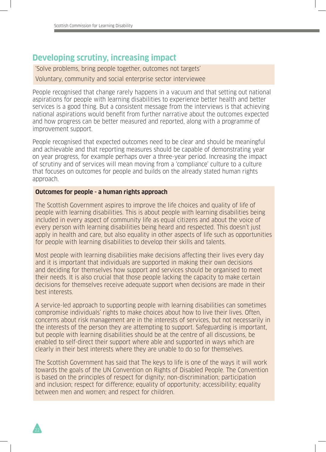# **Developing scrutiny, increasing impact**

'Solve problems, bring people together, outcomes not targets' Voluntary, community and social enterprise sector interviewee

People recognised that change rarely happens in a vacuum and that setting out national aspirations for people with learning disabilities to experience better health and better services is a good thing. But a consistent message from the interviews is that achieving national aspirations would benefit from further narrative about the outcomes expected and how progress can be better measured and reported, along with a programme of improvement support.

People recognised that expected outcomes need to be clear and should be meaningful and achievable and that reporting measures should be capable of demonstrating year on year progress, for example perhaps over a three-year period. Increasing the impact of scrutiny and of services will mean moving from a 'compliance' culture to a culture that focuses on outcomes for people and builds on the already stated human rights approach.

#### **Outcomes for people - a human rights approach**

The Scottish Government aspires to improve the life choices and quality of life of people with learning disabilities. This is about people with learning disabilities being included in every aspect of community life as equal citizens and about the voice of every person with learning disabilities being heard and respected. This doesn't just apply in health and care, but also equality in other aspects of life such as opportunities for people with learning disabilities to develop their skills and talents.

Most people with learning disabilities make decisions affecting their lives every day and it is important that individuals are supported in making their own decisions and deciding for themselves how support and services should be organised to meet their needs. It is also crucial that those people lacking the capacity to make certain decisions for themselves receive adequate support when decisions are made in their best interests.

A service-led approach to supporting people with learning disabilities can sometimes compromise individuals' rights to make choices about how to live their lives. Often, concerns about risk management are in the interests of services, but not necessarily in the interests of the person they are attempting to support. Safeguarding is important, but people with learning disabilities should be at the centre of all discussions, be enabled to self-direct their support where able and supported in ways which are clearly in their best interests where they are unable to do so for themselves.

The Scottish Government has said that The keys to life is one of the ways it will work towards the goals of the UN Convention on Rights of Disabled People. The Convention is based on the principles of respect for dignity; non-discrimination; participation and inclusion; respect for difference; equality of opportunity; accessibility; equality between men and women; and respect for children.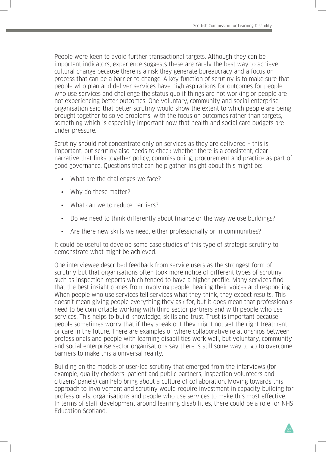People were keen to avoid further transactional targets. Although they can be important indicators, experience suggests these are rarely the best way to achieve cultural change because there is a risk they generate bureaucracy and a focus on process that can be a barrier to change. A key function of scrutiny is to make sure that people who plan and deliver services have high aspirations for outcomes for people who use services and challenge the status quo if things are not working or people are not experiencing better outcomes. One voluntary, community and social enterprise organisation said that better scrutiny would show the extent to which people are being brought together to solve problems, with the focus on outcomes rather than targets, something which is especially important now that health and social care budgets are under pressure.

Scrutiny should not concentrate only on services as they are delivered – this is important, but scrutiny also needs to check whether there is a consistent, clear narrative that links together policy, commissioning, procurement and practice as part of good governance. Questions that can help gather insight about this might be:

- What are the challenges we face?
- Why do these matter?
- What can we to reduce barriers?
- Do we need to think differently about finance or the way we use buildings?
- Are there new skills we need, either professionally or in communities?

It could be useful to develop some case studies of this type of strategic scrutiny to demonstrate what might be achieved.

One interviewee described feedback from service users as the strongest form of scrutiny but that organisations often took more notice of different types of scrutiny, such as inspection reports which tended to have a higher profile. Many services find that the best insight comes from involving people, hearing their voices and responding. When people who use services tell services what they think, they expect results. This doesn't mean giving people everything they ask for, but it does mean that professionals need to be comfortable working with third sector partners and with people who use services. This helps to build knowledge, skills and trust. Trust is important because people sometimes worry that if they speak out they might not get the right treatment or care in the future. There are examples of where collaborative relationships between professionals and people with learning disabilities work well, but voluntary, community and social enterprise sector organisations say there is still some way to go to overcome barriers to make this a universal reality.

Building on the models of user-led scrutiny that emerged from the interviews (for example, quality checkers, patient and public partners, inspection volunteers and citizens' panels) can help bring about a culture of collaboration. Moving towards this approach to involvement and scrutiny would require investment in capacity building for professionals, organisations and people who use services to make this most effective. In terms of staff development around learning disabilities, there could be a role for NHS Education Scotland.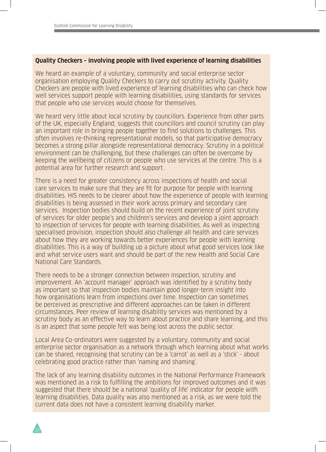#### **Quality Checkers – involving people with lived experience of learning disabilities**

We heard an example of a voluntary, community and social enterprise sector organisation employing Quality Checkers to carry out scrutiny activity. Quality Checkers are people with lived experience of learning disabilities who can check how well services support people with learning disabilities, using standards for services that people who use services would choose for themselves.

We heard very little about local scrutiny by councillors. Experience from other parts of the UK, especially England, suggests that councillors and council scrutiny can play an important role in bringing people together to find solutions to challenges. This often involves re-thinking representational models, so that participative democracy becomes a strong pillar alongside representational democracy. Scrutiny in a political environment can be challenging, but these challenges can often be overcome by keeping the wellbeing of citizens or people who use services at the centre. This is a potential area for further research and support.

There is a need for greater consistency across inspections of health and social care services to make sure that they are fit for purpose for people with learning disabilities. HIS needs to be clearer about how the experience of people with learning disabilities is being assessed in their work across primary and secondary care services. Inspection bodies should build on the recent experience of joint scrutiny of services for older people's and children's services and develop a joint approach to inspection of services for people with learning disabilities. As well as inspecting specialised provision, inspection should also challenge all health and care services about how they are working towards better experiences for people with learning disabilities. This is a way of building up a picture about what good services look like and what service users want and should be part of the new Health and Social Care National Care Standards.

There needs to be a stronger connection between inspection, scrutiny and improvement. An 'account manager' approach was identified by a scrutiny body as important so that inspection bodies maintain good longer-term insight into how organisations learn from inspections over time. Inspection can sometimes be perceived as prescriptive and different approaches can be taken in different circumstances. Peer review of learning disability services was mentioned by a scrutiny body as an effective way to learn about practice and share learning, and this is an aspect that some people felt was being lost across the public sector.

Local Area Co-ordinators were suggested by a voluntary, community and social enterprise sector organisation as a network through which learning about what works can be shared, recognising that scrutiny can be a 'carrot' as well as a 'stick' - about celebrating good practice rather than 'naming and shaming'.

The lack of any learning disability outcomes in the National Performance Framework was mentioned as a risk to fulfilling the ambitions for improved outcomes and it was suggested that there should be a national 'quality of life' indicator for people with learning disabilities. Data quality was also mentioned as a risk, as we were told the current data does not have a consistent learning disability marker.

24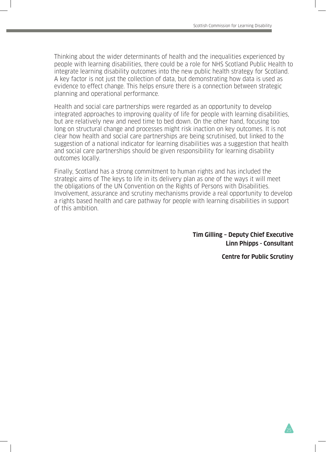Thinking about the wider determinants of health and the inequalities experienced by people with learning disabilities, there could be a role for NHS Scotland Public Health to integrate learning disability outcomes into the new public health strategy for Scotland. A key factor is not just the collection of data, but demonstrating how data is used as evidence to effect change. This helps ensure there is a connection between strategic planning and operational performance.

Health and social care partnerships were regarded as an opportunity to develop integrated approaches to improving quality of life for people with learning disabilities, but are relatively new and need time to bed down. On the other hand, focusing too long on structural change and processes might risk inaction on key outcomes. It is not clear how health and social care partnerships are being scrutinised, but linked to the suggestion of a national indicator for learning disabilities was a suggestion that health and social care partnerships should be given responsibility for learning disability outcomes locally.

Finally, Scotland has a strong commitment to human rights and has included the strategic aims of The keys to life in its delivery plan as one of the ways it will meet the obligations of the UN Convention on the Rights of Persons with Disabilities. Involvement, assurance and scrutiny mechanisms provide a real opportunity to develop a rights based health and care pathway for people with learning disabilities in support of this ambition.

> **Tim Gilling – Deputy Chief Executive Linn Phipps - Consultant**

> > **Centre for Public Scrutiny**